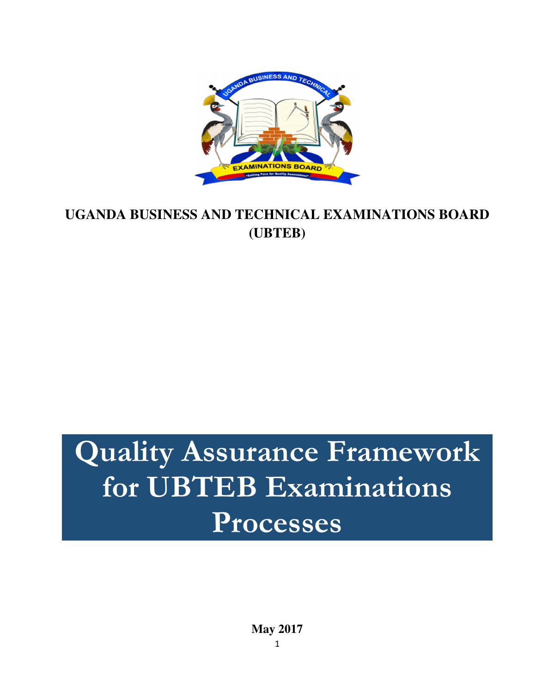

# **UGANDA BUSINESS AND TECHNICAL EXAMINATIONS BOARD (UBTEB)**

# Quality Assurance Framework for UBTEB Examinations Processes

**May 2017**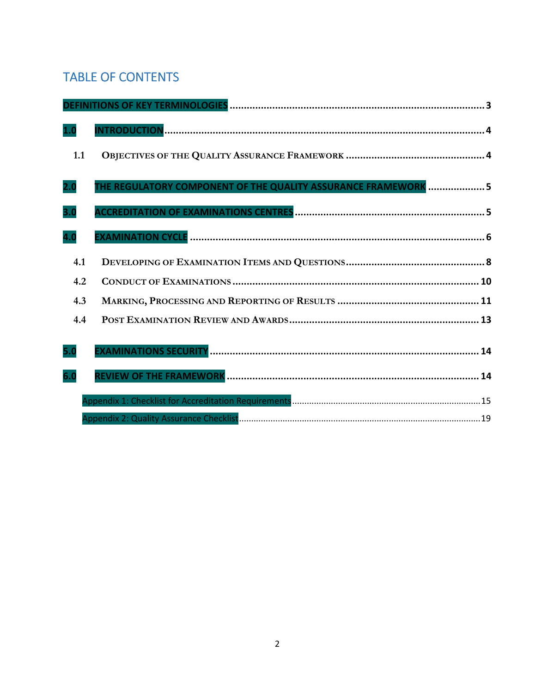# TABLE OF CONTENTS

| 1.0 |                                                                |
|-----|----------------------------------------------------------------|
| 1.1 |                                                                |
| 2.0 | THE REGULATORY COMPONENT OF THE QUALITY ASSURANCE FRAMEWORK  5 |
| 3.0 |                                                                |
| 4.0 |                                                                |
| 4.1 |                                                                |
| 4.2 |                                                                |
| 4.3 |                                                                |
| 4.4 |                                                                |
| 5.0 |                                                                |
| 6.0 |                                                                |
|     |                                                                |
|     |                                                                |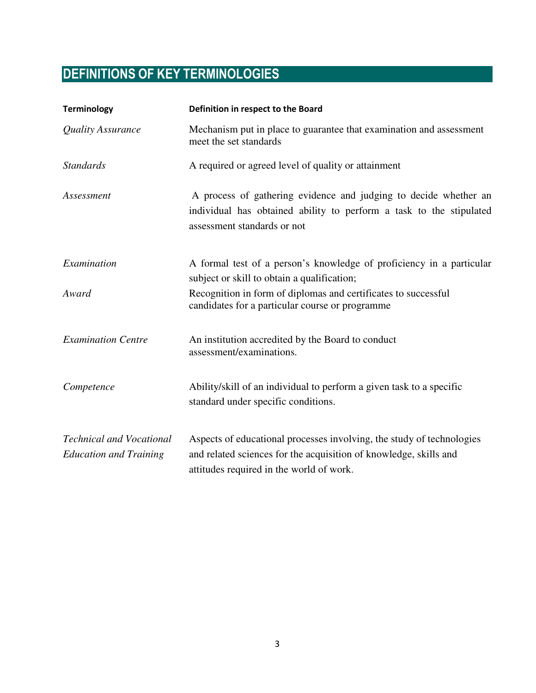# DEFINITIONS OF KEY TERMINOLOGIES

| <b>Terminology</b>                                               | Definition in respect to the Board                                                                                                                                                     |
|------------------------------------------------------------------|----------------------------------------------------------------------------------------------------------------------------------------------------------------------------------------|
| Quality Assurance                                                | Mechanism put in place to guarantee that examination and assessment<br>meet the set standards                                                                                          |
| <b>Standards</b>                                                 | A required or agreed level of quality or attainment                                                                                                                                    |
| Assessment                                                       | A process of gathering evidence and judging to decide whether an<br>individual has obtained ability to perform a task to the stipulated<br>assessment standards or not                 |
| Examination                                                      | A formal test of a person's knowledge of proficiency in a particular<br>subject or skill to obtain a qualification;                                                                    |
| Award                                                            | Recognition in form of diplomas and certificates to successful<br>candidates for a particular course or programme                                                                      |
| <b>Examination Centre</b>                                        | An institution accredited by the Board to conduct<br>assessment/examinations.                                                                                                          |
| Competence                                                       | Ability/skill of an individual to perform a given task to a specific<br>standard under specific conditions.                                                                            |
| <b>Technical and Vocational</b><br><b>Education and Training</b> | Aspects of educational processes involving, the study of technologies<br>and related sciences for the acquisition of knowledge, skills and<br>attitudes required in the world of work. |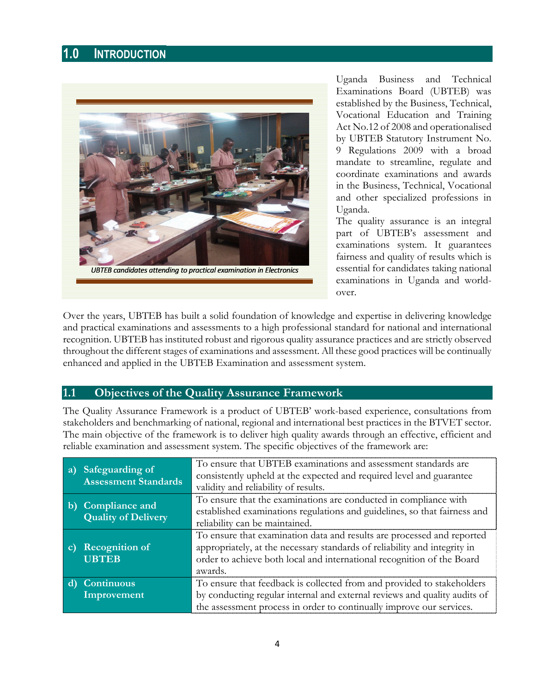# 1.0 INTRODUCTION



Uganda Business and Technical Examinations Board (UBTEB) was established by the Business, Technical, Vocational Education and Training Act No.12 of 2008 and operationalised by UBTEB Statutory Instrument No. 9 Regulations 2009 with a broad mandate to streamline, regulate and coordinate examinations and awards in the Business, Technical, Vocational and other specialized professions in Uganda.

The quality assurance is an integral part of UBTEB's assessment and examinations system. It guarantees fairness and quality of results which is essential for candidates taking national examinations in Uganda and worldover.

Over the years, UBTEB has built a solid foundation of knowledge and expertise in delivering knowledge and practical examinations and assessments to a high professional standard for national and international recognition. UBTEB has instituted robust and rigorous quality assurance practices and are strictly observed throughout the different stages of examinations and assessment. All these good practices will be continually enhanced and applied in the UBTEB Examination and assessment system.

#### 1.1 Objectives of the Quality Assurance Framework

The Quality Assurance Framework is a product of UBTEB' work-based experience, consultations from stakeholders and benchmarking of national, regional and international best practices in the BTVET sector. The main objective of the framework is to deliver high quality awards through an effective, efficient and reliable examination and assessment system. The specific objectives of the framework are:

| a)           | Safeguarding of<br><b>Assessment Standards</b> | To ensure that UBTEB examinations and assessment standards are<br>consistently upheld at the expected and required level and guarantee<br>validity and reliability of results.                                                           |
|--------------|------------------------------------------------|------------------------------------------------------------------------------------------------------------------------------------------------------------------------------------------------------------------------------------------|
| $\mathbf{b}$ | Compliance and<br><b>Quality of Delivery</b>   | To ensure that the examinations are conducted in compliance with<br>established examinations regulations and guidelines, so that fairness and<br>reliability can be maintained.                                                          |
| $\mathbf{c}$ | <b>Recognition of</b><br><b>UBTEB</b>          | To ensure that examination data and results are processed and reported<br>appropriately, at the necessary standards of reliability and integrity in<br>order to achieve both local and international recognition of the Board<br>awards. |
|              | <b>Continuous</b><br>Improvement               | To ensure that feedback is collected from and provided to stakeholders<br>by conducting regular internal and external reviews and quality audits of<br>the assessment process in order to continually improve our services.              |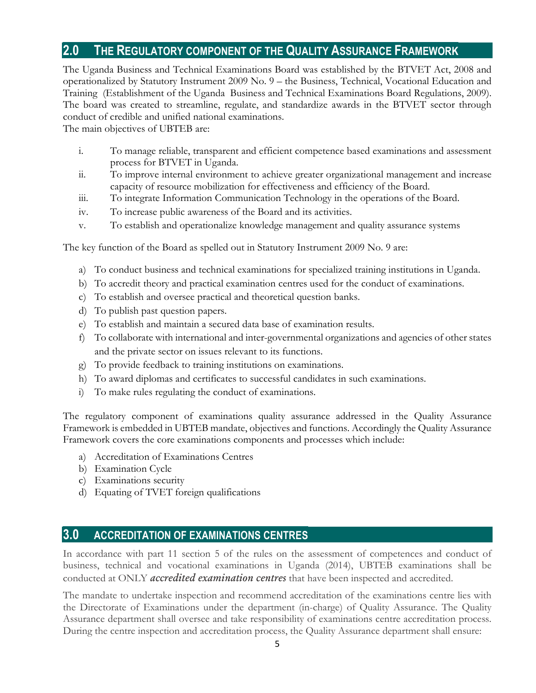# 2.0 THE REGULATORY COMPONENT OF THE QUALITY ASSURANCE FRAMEWORK

The Uganda Business and Technical Examinations Board was established by the BTVET Act, 2008 and operationalized by Statutory Instrument 2009 No. 9 – the Business, Technical, Vocational Education and Training (Establishment of the Uganda Business and Technical Examinations Board Regulations, 2009). The board was created to streamline, regulate, and standardize awards in the BTVET sector through conduct of credible and unified national examinations.

The main objectives of UBTEB are:

- i. To manage reliable, transparent and efficient competence based examinations and assessment process for BTVET in Uganda.
- ii. To improve internal environment to achieve greater organizational management and increase capacity of resource mobilization for effectiveness and efficiency of the Board.
- iii. To integrate Information Communication Technology in the operations of the Board.
- iv. To increase public awareness of the Board and its activities.
- v. To establish and operationalize knowledge management and quality assurance systems

The key function of the Board as spelled out in Statutory Instrument 2009 No. 9 are:

- a) To conduct business and technical examinations for specialized training institutions in Uganda.
- b) To accredit theory and practical examination centres used for the conduct of examinations.
- c) To establish and oversee practical and theoretical question banks.
- d) To publish past question papers.
- e) To establish and maintain a secured data base of examination results.
- f) To collaborate with international and inter-governmental organizations and agencies of other states and the private sector on issues relevant to its functions.
- g) To provide feedback to training institutions on examinations.
- h) To award diplomas and certificates to successful candidates in such examinations.
- i) To make rules regulating the conduct of examinations.

The regulatory component of examinations quality assurance addressed in the Quality Assurance Framework is embedded in UBTEB mandate, objectives and functions. Accordingly the Quality Assurance Framework covers the core examinations components and processes which include:

- a) Accreditation of Examinations Centres
- b) Examination Cycle
- c) Examinations security
- d) Equating of TVET foreign qualifications

#### 3.0 ACCREDITATION OF EXAMINATIONS CENTRES

In accordance with part 11 section 5 of the rules on the assessment of competences and conduct of business, technical and vocational examinations in Uganda (2014), UBTEB examinations shall be conducted at ONLY *accredited examination centres* that have been inspected and accredited.

The mandate to undertake inspection and recommend accreditation of the examinations centre lies with the Directorate of Examinations under the department (in-charge) of Quality Assurance. The Quality Assurance department shall oversee and take responsibility of examinations centre accreditation process. During the centre inspection and accreditation process, the Quality Assurance department shall ensure: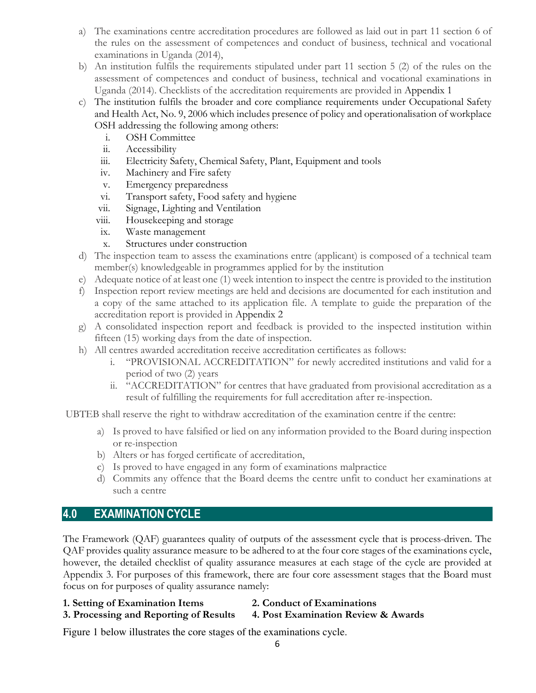- a) The examinations centre accreditation procedures are followed as laid out in part 11 section 6 of the rules on the assessment of competences and conduct of business, technical and vocational examinations in Uganda (2014),
- b) An institution fulfils the requirements stipulated under part 11 section 5 (2) of the rules on the assessment of competences and conduct of business, technical and vocational examinations in Uganda (2014). Checklists of the accreditation requirements are provided in Appendix 1
- c) The institution fulfils the broader and core compliance requirements under Occupational Safety and Health Act, No. 9, 2006 which includes presence of policy and operationalisation of workplace OSH addressing the following among others:
	- i. OSH Committee
	- ii. Accessibility
	- iii. Electricity Safety, Chemical Safety, Plant, Equipment and tools
	- iv. Machinery and Fire safety
	- v. Emergency preparedness
	- vi. Transport safety, Food safety and hygiene
	- vii. Signage, Lighting and Ventilation
	- viii. Housekeeping and storage
	- ix. Waste management
	- x. Structures under construction
- d) The inspection team to assess the examinations entre (applicant) is composed of a technical team member(s) knowledgeable in programmes applied for by the institution
- e) Adequate notice of at least one (1) week intention to inspect the centre is provided to the institution
- f) Inspection report review meetings are held and decisions are documented for each institution and a copy of the same attached to its application file. A template to guide the preparation of the accreditation report is provided in Appendix 2
- g) A consolidated inspection report and feedback is provided to the inspected institution within fifteen (15) working days from the date of inspection.
- h) All centres awarded accreditation receive accreditation certificates as follows:
	- i. "PROVISIONAL ACCREDITATION" for newly accredited institutions and valid for a period of two (2) years
	- ii. "ACCREDITATION" for centres that have graduated from provisional accreditation as a result of fulfilling the requirements for full accreditation after re-inspection.

UBTEB shall reserve the right to withdraw accreditation of the examination centre if the centre:

- a) Is proved to have falsified or lied on any information provided to the Board during inspection or re-inspection
- b) Alters or has forged certificate of accreditation,
- c) Is proved to have engaged in any form of examinations malpractice
- d) Commits any offence that the Board deems the centre unfit to conduct her examinations at such a centre

## 4.0 EXAMINATION CYCLE

The Framework (QAF) guarantees quality of outputs of the assessment cycle that is process-driven. The QAF provides quality assurance measure to be adhered to at the four core stages of the examinations cycle, however, the detailed checklist of quality assurance measures at each stage of the cycle are provided at Appendix 3. For purposes of this framework, there are four core assessment stages that the Board must focus on for purposes of quality assurance namely:

- 1. Setting of Examination Items 2. Conduct of Examinations
	-
- 3. Processing and Reporting of Results 4. Post Examination Review & Awards
- 

Figure 1 below illustrates the core stages of the examinations cycle.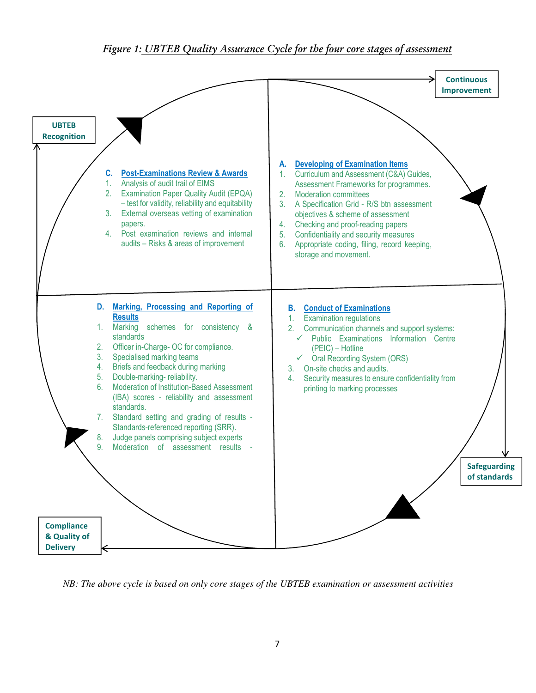#### Figure 1: <u>UBTEB Quality Assurance Cycle for the four core stages of assessment</u>



*NB: The above cycle is based on only core stages of the UBTEB examination or assessment activities*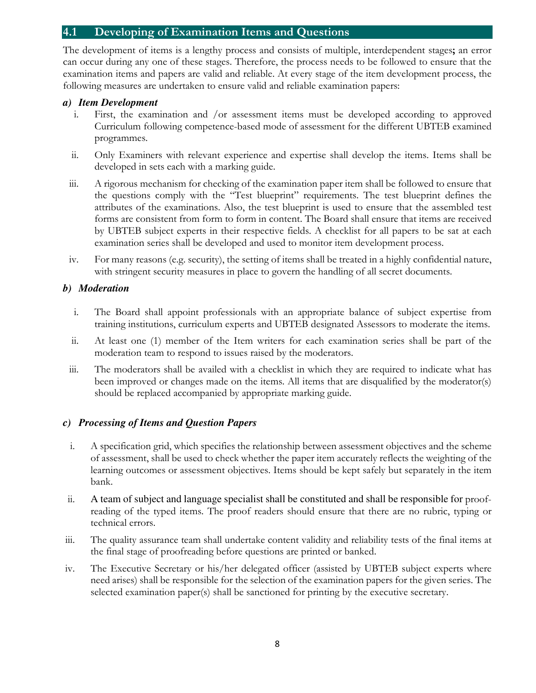#### 4.1 Developing of Examination Items and Questions

The development of items is a lengthy process and consists of multiple, interdependent stages; an error can occur during any one of these stages. Therefore, the process needs to be followed to ensure that the examination items and papers are valid and reliable. At every stage of the item development process, the following measures are undertaken to ensure valid and reliable examination papers:

#### *a) Item Development*

- i. First, the examination and /or assessment items must be developed according to approved Curriculum following competence-based mode of assessment for the different UBTEB examined programmes.
- ii. Only Examiners with relevant experience and expertise shall develop the items. Items shall be developed in sets each with a marking guide.
- iii. A rigorous mechanism for checking of the examination paper item shall be followed to ensure that the questions comply with the "Test blueprint" requirements. The test blueprint defines the attributes of the examinations. Also, the test blueprint is used to ensure that the assembled test forms are consistent from form to form in content. The Board shall ensure that items are received by UBTEB subject experts in their respective fields. A checklist for all papers to be sat at each examination series shall be developed and used to monitor item development process.
- iv. For many reasons (e.g. security), the setting of items shall be treated in a highly confidential nature, with stringent security measures in place to govern the handling of all secret documents.

#### *b) Moderation*

- i. The Board shall appoint professionals with an appropriate balance of subject expertise from training institutions, curriculum experts and UBTEB designated Assessors to moderate the items.
- ii. At least one (1) member of the Item writers for each examination series shall be part of the moderation team to respond to issues raised by the moderators.
- iii. The moderators shall be availed with a checklist in which they are required to indicate what has been improved or changes made on the items. All items that are disqualified by the moderator(s) should be replaced accompanied by appropriate marking guide.

#### *c) Processing of Items and Question Papers*

- i. A specification grid, which specifies the relationship between assessment objectives and the scheme of assessment, shall be used to check whether the paper item accurately reflects the weighting of the learning outcomes or assessment objectives. Items should be kept safely but separately in the item bank.
- ii. A team of subject and language specialist shall be constituted and shall be responsible for proofreading of the typed items. The proof readers should ensure that there are no rubric, typing or technical errors.
- iii. The quality assurance team shall undertake content validity and reliability tests of the final items at the final stage of proofreading before questions are printed or banked.
- iv. The Executive Secretary or his/her delegated officer (assisted by UBTEB subject experts where need arises) shall be responsible for the selection of the examination papers for the given series. The selected examination paper(s) shall be sanctioned for printing by the executive secretary.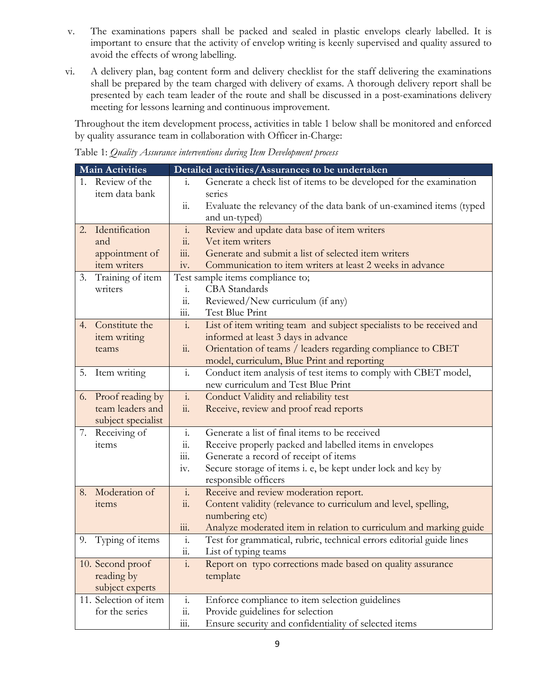- v. The examinations papers shall be packed and sealed in plastic envelops clearly labelled. It is important to ensure that the activity of envelop writing is keenly supervised and quality assured to avoid the effects of wrong labelling.
- vi. A delivery plan, bag content form and delivery checklist for the staff delivering the examinations shall be prepared by the team charged with delivery of exams. A thorough delivery report shall be presented by each team leader of the route and shall be discussed in a post-examinations delivery meeting for lessons learning and continuous improvement.

Throughout the item development process, activities in table 1 below shall be monitored and enforced by quality assurance team in collaboration with Officer in-Charge:

Table 1: Quality Assurance interventions during Item Development process

| <b>Main Activities</b> |                       |                                 | Detailed activities/Assurances to be undertaken                      |  |  |  |
|------------------------|-----------------------|---------------------------------|----------------------------------------------------------------------|--|--|--|
|                        | 1. Review of the      | 1.                              | Generate a check list of items to be developed for the examination   |  |  |  |
|                        | item data bank        |                                 | series                                                               |  |  |  |
|                        |                       | $\overline{11}$ .               | Evaluate the relevancy of the data bank of un-examined items (typed  |  |  |  |
|                        |                       |                                 | and un-typed)                                                        |  |  |  |
|                        | 2. Identification     | $\mathbf{i}$ .                  | Review and update data base of item writers                          |  |  |  |
|                        | and                   | $\dddot{11}$ .                  | Vet item writers                                                     |  |  |  |
|                        | appointment of        | $\dddot{\mathbf{m}}$ .          | Generate and submit a list of selected item writers                  |  |  |  |
|                        | item writers          | iv.                             | Communication to item writers at least 2 weeks in advance            |  |  |  |
| 3.                     | Training of item      |                                 | Test sample items compliance to;                                     |  |  |  |
|                        | writers               | 1.                              | <b>CBA</b> Standards                                                 |  |  |  |
|                        |                       | 11.                             | Reviewed/New curriculum (if any)                                     |  |  |  |
|                        |                       | 111.                            | Test Blue Print                                                      |  |  |  |
|                        | 4. Constitute the     | 1.                              | List of item writing team and subject specialists to be received and |  |  |  |
|                        | item writing          |                                 | informed at least 3 days in advance                                  |  |  |  |
|                        | teams                 | $\dddot{11}$ .                  | Orientation of teams / leaders regarding compliance to CBET          |  |  |  |
|                        |                       |                                 | model, curriculum, Blue Print and reporting                          |  |  |  |
| 5.                     | Item writing          | $\mathbf{i}$ .                  | Conduct item analysis of test items to comply with CBET model,       |  |  |  |
|                        |                       |                                 | new curriculum and Test Blue Print                                   |  |  |  |
|                        | 6. Proof reading by   | $\overline{\mathbf{i}}$ .       | Conduct Validity and reliability test                                |  |  |  |
|                        | team leaders and      | $\dddot{11}$ .                  | Receive, review and proof read reports                               |  |  |  |
|                        | subject specialist    |                                 |                                                                      |  |  |  |
|                        | 7. Receiving of       | $\mathbf{i}$ .                  | Generate a list of final items to be received                        |  |  |  |
|                        | items                 | 11.                             | Receive properly packed and labelled items in envelopes              |  |  |  |
|                        |                       | $\dddot{\mathbf{m}}$ .          | Generate a record of receipt of items                                |  |  |  |
|                        |                       | 1V.                             | Secure storage of items i. e, be kept under lock and key by          |  |  |  |
|                        |                       |                                 | responsible officers                                                 |  |  |  |
| 8.                     | Moderation of         | $\mathbf{i}$ .                  | Receive and review moderation report.                                |  |  |  |
|                        | items                 | $\dddot{11}$ .                  | Content validity (relevance to curriculum and level, spelling,       |  |  |  |
|                        |                       |                                 | numbering etc)                                                       |  |  |  |
|                        |                       | $\dddot{m}$ .                   | Analyze moderated item in relation to curriculum and marking guide   |  |  |  |
| 9.                     | Typing of items       | $\ddot{1}$ .                    | Test for grammatical, rubric, technical errors editorial guide lines |  |  |  |
|                        |                       | 11.                             | List of typing teams                                                 |  |  |  |
|                        | 10. Second proof      | $\mathbf{i}$ .                  | Report on typo corrections made based on quality assurance           |  |  |  |
|                        | reading by            |                                 | template                                                             |  |  |  |
|                        | subject experts       |                                 |                                                                      |  |  |  |
|                        | 11. Selection of item | i.                              | Enforce compliance to item selection guidelines                      |  |  |  |
|                        | for the series        | $\dddot{11}$ .                  | Provide guidelines for selection                                     |  |  |  |
|                        |                       | $\mathop{\text{iii}}\nolimits.$ | Ensure security and confidentiality of selected items                |  |  |  |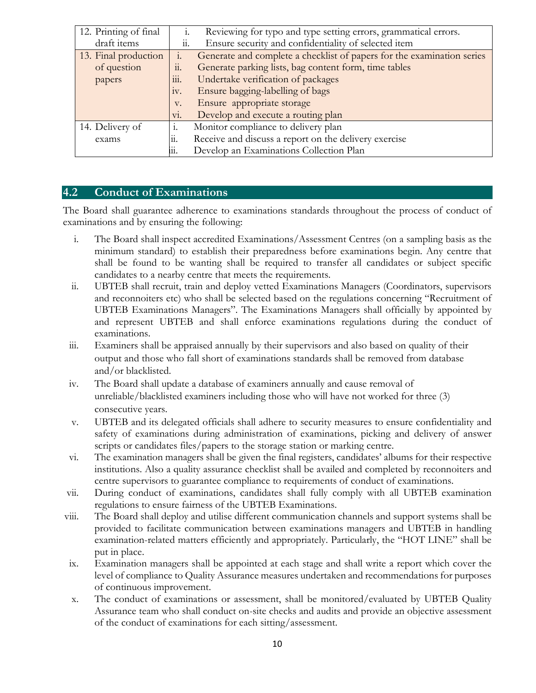| 12. Printing of final                                        | Reviewing for typo and type setting errors, grammatical errors.<br>1. |                                                                        |
|--------------------------------------------------------------|-----------------------------------------------------------------------|------------------------------------------------------------------------|
| draft items                                                  | 11.                                                                   | Ensure security and confidentiality of selected item                   |
| 13. Final production                                         | 1.                                                                    | Generate and complete a checklist of papers for the examination series |
| of question                                                  | $\dddot{\mathbf{1}}$                                                  | Generate parking lists, bag content form, time tables                  |
| papers                                                       | 111.                                                                  | Undertake verification of packages                                     |
|                                                              | Ensure bagging-labelling of bags<br>1V.                               |                                                                        |
| V.                                                           |                                                                       | Ensure appropriate storage                                             |
|                                                              | V1.                                                                   | Develop and execute a routing plan                                     |
| Monitor compliance to delivery plan<br>14. Delivery of<br>1. |                                                                       |                                                                        |
| 11.<br>exams                                                 |                                                                       | Receive and discuss a report on the delivery exercise                  |
| Develop an Examinations Collection Plan<br>11.               |                                                                       |                                                                        |

#### 4.2 Conduct of Examinations

The Board shall guarantee adherence to examinations standards throughout the process of conduct of examinations and by ensuring the following:

- i. The Board shall inspect accredited Examinations/Assessment Centres (on a sampling basis as the minimum standard) to establish their preparedness before examinations begin. Any centre that shall be found to be wanting shall be required to transfer all candidates or subject specific candidates to a nearby centre that meets the requirements.
- ii. UBTEB shall recruit, train and deploy vetted Examinations Managers (Coordinators, supervisors and reconnoiters etc) who shall be selected based on the regulations concerning "Recruitment of UBTEB Examinations Managers". The Examinations Managers shall officially by appointed by and represent UBTEB and shall enforce examinations regulations during the conduct of examinations.
- iii. Examiners shall be appraised annually by their supervisors and also based on quality of their output and those who fall short of examinations standards shall be removed from database and/or blacklisted.
- iv. The Board shall update a database of examiners annually and cause removal of unreliable/blacklisted examiners including those who will have not worked for three (3) consecutive years.
- v. UBTEB and its delegated officials shall adhere to security measures to ensure confidentiality and safety of examinations during administration of examinations, picking and delivery of answer scripts or candidates files/papers to the storage station or marking centre.
- vi. The examination managers shall be given the final registers, candidates' albums for their respective institutions. Also a quality assurance checklist shall be availed and completed by reconnoiters and centre supervisors to guarantee compliance to requirements of conduct of examinations.
- vii. During conduct of examinations, candidates shall fully comply with all UBTEB examination regulations to ensure fairness of the UBTEB Examinations.
- viii. The Board shall deploy and utilise different communication channels and support systems shall be provided to facilitate communication between examinations managers and UBTEB in handling examination-related matters efficiently and appropriately. Particularly, the "HOT LINE" shall be put in place.
- ix. Examination managers shall be appointed at each stage and shall write a report which cover the level of compliance to Quality Assurance measures undertaken and recommendations for purposes of continuous improvement.
- x. The conduct of examinations or assessment, shall be monitored/evaluated by UBTEB Quality Assurance team who shall conduct on-site checks and audits and provide an objective assessment of the conduct of examinations for each sitting/assessment.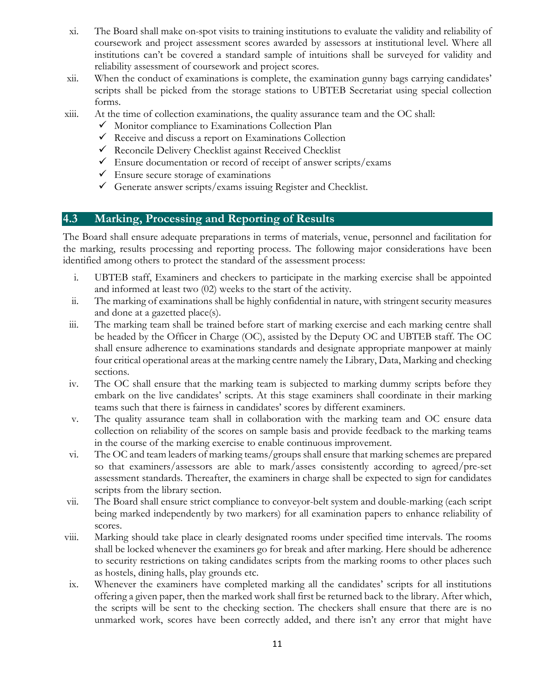- xi. The Board shall make on-spot visits to training institutions to evaluate the validity and reliability of coursework and project assessment scores awarded by assessors at institutional level. Where all institutions can't be covered a standard sample of intuitions shall be surveyed for validity and reliability assessment of coursework and project scores.
- xii. When the conduct of examinations is complete, the examination gunny bags carrying candidates' scripts shall be picked from the storage stations to UBTEB Secretariat using special collection forms.
- xiii. At the time of collection examinations, the quality assurance team and the OC shall:
	- $\checkmark$  Monitor compliance to Examinations Collection Plan
	- $\checkmark$  Receive and discuss a report on Examinations Collection
	- $\checkmark$  Reconcile Delivery Checklist against Received Checklist
	- $\checkmark$  Ensure documentation or record of receipt of answer scripts/exams
	- $\checkmark$  Ensure secure storage of examinations
	- Generate answer scripts/exams issuing Register and Checklist.

#### 4.3 Marking, Processing and Reporting of Results

The Board shall ensure adequate preparations in terms of materials, venue, personnel and facilitation for the marking, results processing and reporting process. The following major considerations have been identified among others to protect the standard of the assessment process:

- i. UBTEB staff, Examiners and checkers to participate in the marking exercise shall be appointed and informed at least two (02) weeks to the start of the activity.
- ii. The marking of examinations shall be highly confidential in nature, with stringent security measures and done at a gazetted place(s).
- iii. The marking team shall be trained before start of marking exercise and each marking centre shall be headed by the Officer in Charge (OC), assisted by the Deputy OC and UBTEB staff. The OC shall ensure adherence to examinations standards and designate appropriate manpower at mainly four critical operational areas at the marking centre namely the Library, Data, Marking and checking sections.
- iv. The OC shall ensure that the marking team is subjected to marking dummy scripts before they embark on the live candidates' scripts. At this stage examiners shall coordinate in their marking teams such that there is fairness in candidates' scores by different examiners.
- v. The quality assurance team shall in collaboration with the marking team and OC ensure data collection on reliability of the scores on sample basis and provide feedback to the marking teams in the course of the marking exercise to enable continuous improvement.
- vi. The OC and team leaders of marking teams/groups shall ensure that marking schemes are prepared so that examiners/assessors are able to mark/asses consistently according to agreed/pre-set assessment standards. Thereafter, the examiners in charge shall be expected to sign for candidates scripts from the library section.
- vii. The Board shall ensure strict compliance to conveyor-belt system and double-marking (each script being marked independently by two markers) for all examination papers to enhance reliability of scores.
- viii. Marking should take place in clearly designated rooms under specified time intervals. The rooms shall be locked whenever the examiners go for break and after marking. Here should be adherence to security restrictions on taking candidates scripts from the marking rooms to other places such as hostels, dining halls, play grounds etc.
- ix. Whenever the examiners have completed marking all the candidates' scripts for all institutions offering a given paper, then the marked work shall first be returned back to the library. After which, the scripts will be sent to the checking section. The checkers shall ensure that there are is no unmarked work, scores have been correctly added, and there isn't any error that might have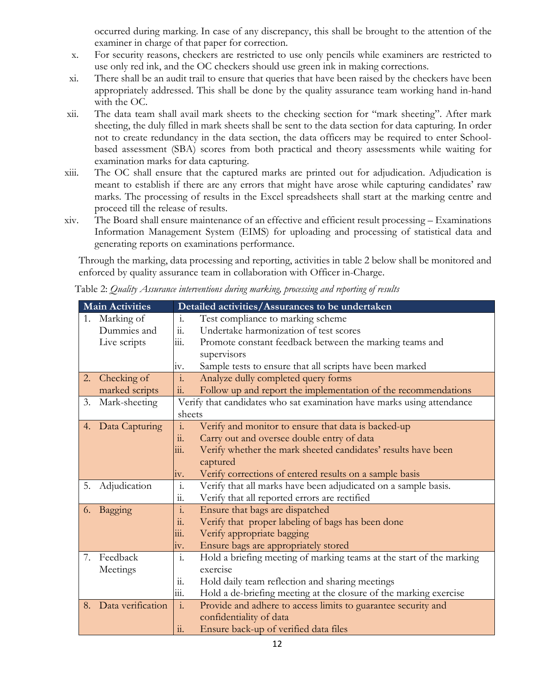occurred during marking. In case of any discrepancy, this shall be brought to the attention of the examiner in charge of that paper for correction.

- x. For security reasons, checkers are restricted to use only pencils while examiners are restricted to use only red ink, and the OC checkers should use green ink in making corrections.
- xi. There shall be an audit trail to ensure that queries that have been raised by the checkers have been appropriately addressed. This shall be done by the quality assurance team working hand in-hand with the OC.
- xii. The data team shall avail mark sheets to the checking section for "mark sheeting". After mark sheeting, the duly filled in mark sheets shall be sent to the data section for data capturing. In order not to create redundancy in the data section, the data officers may be required to enter Schoolbased assessment (SBA) scores from both practical and theory assessments while waiting for examination marks for data capturing.
- xiii. The OC shall ensure that the captured marks are printed out for adjudication. Adjudication is meant to establish if there are any errors that might have arose while capturing candidates' raw marks. The processing of results in the Excel spreadsheets shall start at the marking centre and proceed till the release of results.
- xiv. The Board shall ensure maintenance of an effective and efficient result processing Examinations Information Management System (EIMS) for uploading and processing of statistical data and generating reports on examinations performance.

Through the marking, data processing and reporting, activities in table 2 below shall be monitored and enforced by quality assurance team in collaboration with Officer in-Charge.

Table 2: Quality Assurance interventions during marking, processing and reporting of results

|    | <b>Main Activities</b> |                           | Detailed activities/Assurances to be undertaken                        |  |  |  |  |
|----|------------------------|---------------------------|------------------------------------------------------------------------|--|--|--|--|
|    | 1. Marking of          | $\mathbf{i}$ .            | Test compliance to marking scheme                                      |  |  |  |  |
|    | Dummies and            | $\dddot{11}$ .            | Undertake harmonization of test scores                                 |  |  |  |  |
|    | Live scripts           | 111.                      | Promote constant feedback between the marking teams and                |  |  |  |  |
|    |                        |                           | supervisors                                                            |  |  |  |  |
|    |                        | iv.                       | Sample tests to ensure that all scripts have been marked               |  |  |  |  |
| 2. | Checking of            | $\overline{\mathbf{i}}$ . | Analyze dully completed query forms                                    |  |  |  |  |
|    | marked scripts         | ii.                       | Follow up and report the implementation of the recommendations         |  |  |  |  |
| 3. | Mark-sheeting          |                           | Verify that candidates who sat examination have marks using attendance |  |  |  |  |
|    |                        | sheets                    |                                                                        |  |  |  |  |
| 4. | Data Capturing         | $\ddot{1}$ .              | Verify and monitor to ensure that data is backed-up                    |  |  |  |  |
|    |                        | $\dddot{11}$ .            | Carry out and oversee double entry of data                             |  |  |  |  |
|    |                        | 111.                      | Verify whether the mark sheeted candidates' results have been          |  |  |  |  |
|    |                        |                           | captured                                                               |  |  |  |  |
|    |                        | 1V.                       | Verify corrections of entered results on a sample basis                |  |  |  |  |
| 5. | Adjudication           | $\mathbf{i}$ .            | Verify that all marks have been adjudicated on a sample basis.         |  |  |  |  |
|    |                        | 11.                       | Verify that all reported errors are rectified                          |  |  |  |  |
| 6. | Bagging                | $\cdot$ <sub>1</sub> .    | Ensure that bags are dispatched                                        |  |  |  |  |
|    |                        | $\dddot{11}$ .            | Verify that proper labeling of bags has been done                      |  |  |  |  |
|    |                        | $\overline{\text{iii}}$ . | Verify appropriate bagging                                             |  |  |  |  |
|    |                        | iv.                       | Ensure bags are appropriately stored                                   |  |  |  |  |
| 7. | Feedback               | $\mathbf{i}$ .            | Hold a briefing meeting of marking teams at the start of the marking   |  |  |  |  |
|    | Meetings               |                           | exercise                                                               |  |  |  |  |
|    |                        | 11.                       | Hold daily team reflection and sharing meetings                        |  |  |  |  |
|    |                        | 111.                      | Hold a de-briefing meeting at the closure of the marking exercise      |  |  |  |  |
| 8. | Data verification      | $\overline{\mathbf{i}}$ . | Provide and adhere to access limits to guarantee security and          |  |  |  |  |
|    |                        |                           | confidentiality of data                                                |  |  |  |  |
|    |                        | $\dddot{11}$ .            | Ensure back-up of verified data files                                  |  |  |  |  |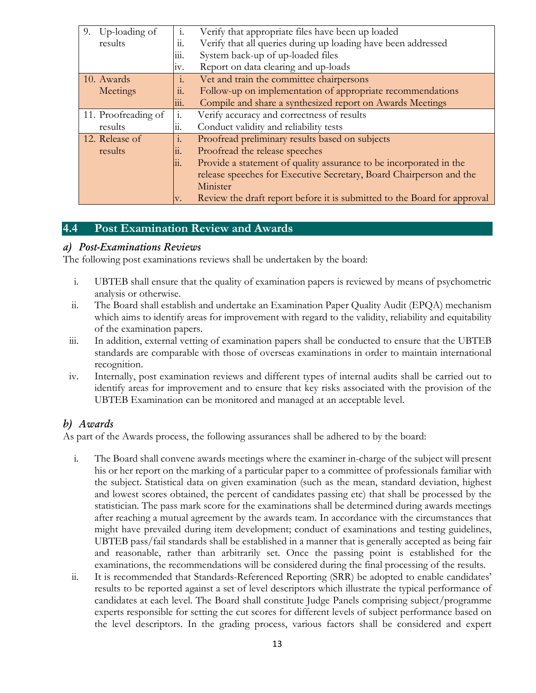| 9. Up-loading of    | $\mathbf{i}$ . | Verify that appropriate files have been up loaded                        |  |  |  |
|---------------------|----------------|--------------------------------------------------------------------------|--|--|--|
| results             | 11.            | Verify that all queries during up loading have been addressed            |  |  |  |
|                     | iii.           | System back-up of up-loaded files                                        |  |  |  |
|                     | 1V.            | Report on data clearing and up-loads                                     |  |  |  |
| 10. Awards          | $\ddot{1}$ .   | Vet and train the committee chairpersons                                 |  |  |  |
| Meetings            | 11.            | Follow-up on implementation of appropriate recommendations               |  |  |  |
|                     | 111.           | Compile and share a synthesized report on Awards Meetings                |  |  |  |
| 11. Proofreading of | 1.             | Verify accuracy and correctness of results                               |  |  |  |
| results             | 11.            | Conduct validity and reliability tests                                   |  |  |  |
| 12. Release of      | 1.             | Proofread preliminary results based on subjects                          |  |  |  |
| results             | 11.            | Proofread the release speeches                                           |  |  |  |
|                     | 11.            | Provide a statement of quality assurance to be incorporated in the       |  |  |  |
|                     |                | release speeches for Executive Secretary, Board Chairperson and the      |  |  |  |
|                     |                | Minister                                                                 |  |  |  |
|                     | IV.            | Review the draft report before it is submitted to the Board for approval |  |  |  |

#### 4.4 Post Examination Review and Awards

#### a) Post-Examinations Reviews

The following post examinations reviews shall be undertaken by the board:

- i. UBTEB shall ensure that the quality of examination papers is reviewed by means of psychometric analysis or otherwise.
- ii. The Board shall establish and undertake an Examination Paper Quality Audit (EPQA) mechanism which aims to identify areas for improvement with regard to the validity, reliability and equitability of the examination papers.
- iii. In addition, external vetting of examination papers shall be conducted to ensure that the UBTEB standards are comparable with those of overseas examinations in order to maintain international recognition.
- iv. Internally, post examination reviews and different types of internal audits shall be carried out to identify areas for improvement and to ensure that key risks associated with the provision of the UBTEB Examination can be monitored and managed at an acceptable level.

#### b) Awards

As part of the Awards process, the following assurances shall be adhered to by the board:

- i. The Board shall convene awards meetings where the examiner in-charge of the subject will present his or her report on the marking of a particular paper to a committee of professionals familiar with the subject. Statistical data on given examination (such as the mean, standard deviation, highest and lowest scores obtained, the percent of candidates passing etc) that shall be processed by the statistician. The pass mark score for the examinations shall be determined during awards meetings after reaching a mutual agreement by the awards team. In accordance with the circumstances that might have prevailed during item development; conduct of examinations and testing guidelines, UBTEB pass/fail standards shall be established in a manner that is generally accepted as being fair and reasonable, rather than arbitrarily set. Once the passing point is established for the examinations, the recommendations will be considered during the final processing of the results.
- ii. It is recommended that Standards-Referenced Reporting (SRR) be adopted to enable candidates' results to be reported against a set of level descriptors which illustrate the typical performance of candidates at each level. The Board shall constitute Judge Panels comprising subject/programme experts responsible for setting the cut scores for different levels of subject performance based on the level descriptors. In the grading process, various factors shall be considered and expert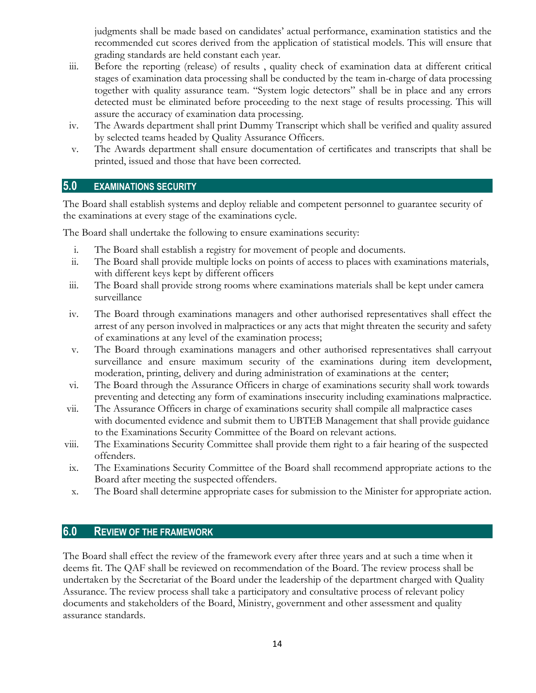judgments shall be made based on candidates' actual performance, examination statistics and the recommended cut scores derived from the application of statistical models. This will ensure that grading standards are held constant each year.

- iii. Before the reporting (release) of results , quality check of examination data at different critical stages of examination data processing shall be conducted by the team in-charge of data processing together with quality assurance team. "System logic detectors" shall be in place and any errors detected must be eliminated before proceeding to the next stage of results processing. This will assure the accuracy of examination data processing.
- iv. The Awards department shall print Dummy Transcript which shall be verified and quality assured by selected teams headed by Quality Assurance Officers.
- v. The Awards department shall ensure documentation of certificates and transcripts that shall be printed, issued and those that have been corrected.

#### 5.0 EXAMINATIONS SECURITY

The Board shall establish systems and deploy reliable and competent personnel to guarantee security of the examinations at every stage of the examinations cycle.

The Board shall undertake the following to ensure examinations security:

- i. The Board shall establish a registry for movement of people and documents.
- ii. The Board shall provide multiple locks on points of access to places with examinations materials, with different keys kept by different officers
- iii. The Board shall provide strong rooms where examinations materials shall be kept under camera surveillance
- iv. The Board through examinations managers and other authorised representatives shall effect the arrest of any person involved in malpractices or any acts that might threaten the security and safety of examinations at any level of the examination process;
- v. The Board through examinations managers and other authorised representatives shall carryout surveillance and ensure maximum security of the examinations during item development, moderation, printing, delivery and during administration of examinations at the center;
- vi. The Board through the Assurance Officers in charge of examinations security shall work towards preventing and detecting any form of examinations insecurity including examinations malpractice.
- vii. The Assurance Officers in charge of examinations security shall compile all malpractice cases with documented evidence and submit them to UBTEB Management that shall provide guidance to the Examinations Security Committee of the Board on relevant actions.
- viii. The Examinations Security Committee shall provide them right to a fair hearing of the suspected offenders.
- ix. The Examinations Security Committee of the Board shall recommend appropriate actions to the Board after meeting the suspected offenders.
- x. The Board shall determine appropriate cases for submission to the Minister for appropriate action.

#### 6.0 REVIEW OF THE FRAMEWORK

The Board shall effect the review of the framework every after three years and at such a time when it deems fit. The QAF shall be reviewed on recommendation of the Board. The review process shall be undertaken by the Secretariat of the Board under the leadership of the department charged with Quality Assurance. The review process shall take a participatory and consultative process of relevant policy documents and stakeholders of the Board, Ministry, government and other assessment and quality assurance standards.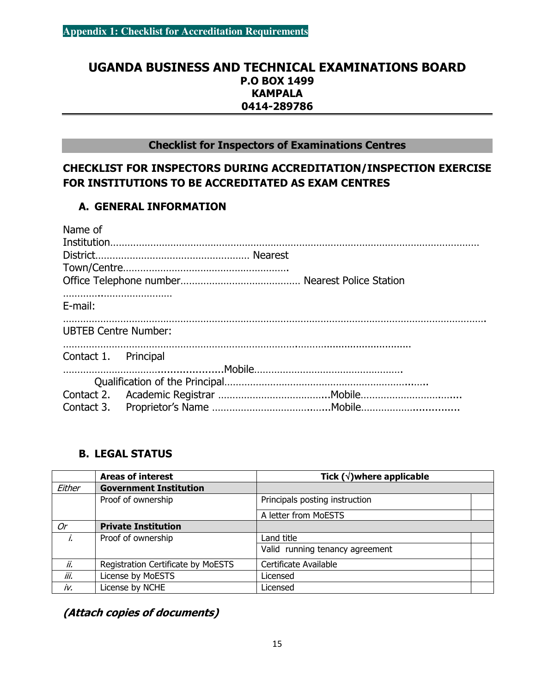#### UGANDA BUSINESS AND TECHNICAL EXAMINATIONS BOARD P.O BOX 1499 **KAMPALA** 0414-289786

#### Checklist for Inspectors of Examinations Centres

## CHECKLIST FOR INSPECTORS DURING ACCREDITATION/INSPECTION EXERCISE FOR INSTITUTIONS TO BE ACCREDITATED AS EXAM CENTRES

#### A. GENERAL INFORMATION

| Name of                     |  |
|-----------------------------|--|
|                             |  |
|                             |  |
|                             |  |
| E-mail:                     |  |
| <b>UBTEB Centre Number:</b> |  |
| Contact 1. Principal        |  |
|                             |  |
|                             |  |
|                             |  |
|                             |  |

#### B. LEGAL STATUS

|        | <b>Areas of interest</b>           | Tick $(\sqrt{})$ where applicable |  |  |  |  |
|--------|------------------------------------|-----------------------------------|--|--|--|--|
| Either | <b>Government Institution</b>      |                                   |  |  |  |  |
|        | Proof of ownership                 | Principals posting instruction    |  |  |  |  |
|        |                                    | A letter from MoESTS              |  |  |  |  |
| 0r     | <b>Private Institution</b>         |                                   |  |  |  |  |
| i.     | Proof of ownership                 | Land title                        |  |  |  |  |
|        |                                    | Valid running tenancy agreement   |  |  |  |  |
| ii.    | Registration Certificate by MoESTS | Certificate Available             |  |  |  |  |
| iii.   | License by MoESTS                  | Licensed                          |  |  |  |  |
| iv.    | License by NCHE                    | Licensed                          |  |  |  |  |

(Attach copies of documents)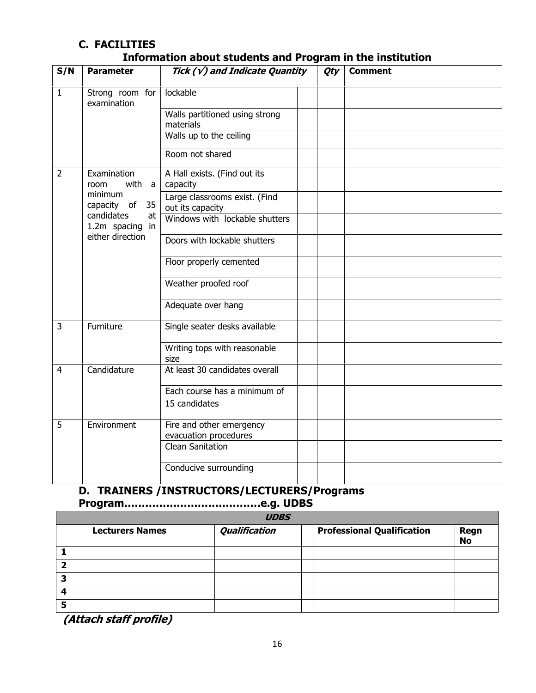#### C. FACILITIES Information about students and Program in the institution

| S/N            | <b>Parameter</b>                    | Tick $(\sqrt{y})$ and Indicate Quantity           | Qty | <b>Comment</b> |
|----------------|-------------------------------------|---------------------------------------------------|-----|----------------|
| $\overline{1}$ | Strong room for<br>examination      | lockable                                          |     |                |
|                |                                     | Walls partitioned using strong<br>materials       |     |                |
|                |                                     | Walls up to the ceiling                           |     |                |
|                |                                     | Room not shared                                   |     |                |
| $\overline{2}$ | Examination<br>with a<br>room       | A Hall exists. (Find out its<br>capacity          |     |                |
|                | minimum<br>35<br>capacity of        | Large classrooms exist. (Find<br>out its capacity |     |                |
|                | candidates<br>at<br>1.2m spacing in | Windows with lockable shutters                    |     |                |
|                | either direction                    | Doors with lockable shutters                      |     |                |
|                |                                     | Floor properly cemented                           |     |                |
|                |                                     | Weather proofed roof                              |     |                |
|                |                                     | Adequate over hang                                |     |                |
| $\overline{3}$ | Furniture                           | Single seater desks available                     |     |                |
|                |                                     | Writing tops with reasonable<br>size              |     |                |
| $\overline{4}$ | Candidature                         | At least 30 candidates overall                    |     |                |
|                |                                     | Each course has a minimum of                      |     |                |
|                |                                     | 15 candidates                                     |     |                |
| 5              | Environment                         | Fire and other emergency<br>evacuation procedures |     |                |
|                |                                     | <b>Clean Sanitation</b>                           |     |                |
|                |                                     | Conducive surrounding                             |     |                |

# D. TRAINERS /INSTRUCTORS/LECTURERS/Programs

Program…………………………………e.g. UDBS

|    | <b>UDBS</b>            |                      |  |                                   |                   |  |  |  |
|----|------------------------|----------------------|--|-----------------------------------|-------------------|--|--|--|
|    | <b>Lecturers Names</b> | <b>Qualification</b> |  | <b>Professional Qualification</b> | Regn<br><b>No</b> |  |  |  |
|    |                        |                      |  |                                   |                   |  |  |  |
| כי |                        |                      |  |                                   |                   |  |  |  |
| 3  |                        |                      |  |                                   |                   |  |  |  |
|    |                        |                      |  |                                   |                   |  |  |  |
|    |                        |                      |  |                                   |                   |  |  |  |

(Attach staff profile)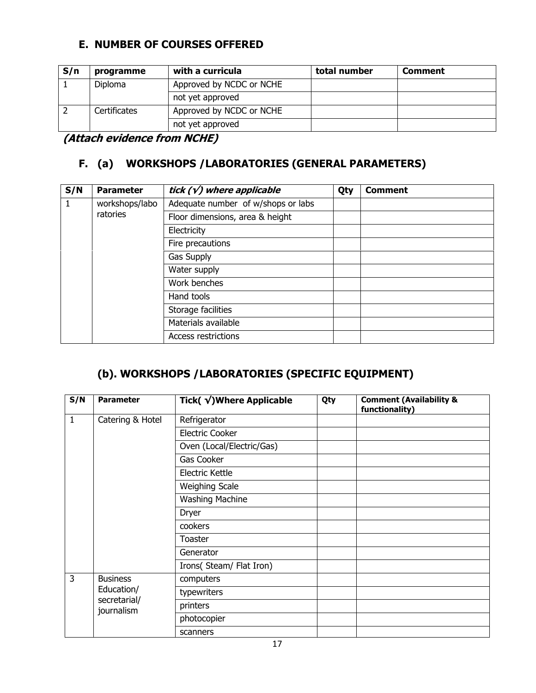#### E. NUMBER OF COURSES OFFERED

| S/n | programme           | with a curricula         | total number | Comment |
|-----|---------------------|--------------------------|--------------|---------|
|     | Diploma             | Approved by NCDC or NCHE |              |         |
|     |                     | not yet approved         |              |         |
|     | <b>Certificates</b> | Approved by NCDC or NCHE |              |         |
|     |                     | not yet approved         |              |         |

(Attach evidence from NCHE)

### F. (a) WORKSHOPS /LABORATORIES (GENERAL PARAMETERS)

| S/N | <b>Parameter</b> | tick $(\sqrt{})$ where applicable  | Qty | <b>Comment</b> |
|-----|------------------|------------------------------------|-----|----------------|
|     | workshops/labo   | Adequate number of w/shops or labs |     |                |
|     | ratories         | Floor dimensions, area & height    |     |                |
|     |                  | Electricity                        |     |                |
|     |                  | Fire precautions                   |     |                |
|     |                  | Gas Supply                         |     |                |
|     |                  | Water supply                       |     |                |
|     |                  | Work benches                       |     |                |
|     |                  | Hand tools                         |     |                |
|     |                  | Storage facilities                 |     |                |
|     |                  | Materials available                |     |                |
|     |                  | <b>Access restrictions</b>         |     |                |

# (b). WORKSHOPS /LABORATORIES (SPECIFIC EQUIPMENT)

| S/N          | <b>Parameter</b>           | Tick(√)Where Applicable   | Qty | <b>Comment (Availability &amp;</b><br>functionality) |
|--------------|----------------------------|---------------------------|-----|------------------------------------------------------|
| $\mathbf{1}$ | Catering & Hotel           | Refrigerator              |     |                                                      |
|              |                            | Electric Cooker           |     |                                                      |
|              |                            | Oven (Local/Electric/Gas) |     |                                                      |
|              |                            | Gas Cooker                |     |                                                      |
|              |                            | Electric Kettle           |     |                                                      |
|              |                            | <b>Weighing Scale</b>     |     |                                                      |
|              |                            | <b>Washing Machine</b>    |     |                                                      |
|              |                            | Dryer                     |     |                                                      |
|              |                            | cookers                   |     |                                                      |
|              |                            | Toaster                   |     |                                                      |
|              |                            | Generator                 |     |                                                      |
|              |                            | Irons(Steam/Flat Iron)    |     |                                                      |
| 3            | <b>Business</b>            | computers                 |     |                                                      |
|              | Education/                 | typewriters               |     |                                                      |
|              | secretarial/<br>journalism | printers                  |     |                                                      |
|              |                            | photocopier               |     |                                                      |
|              |                            | scanners                  |     |                                                      |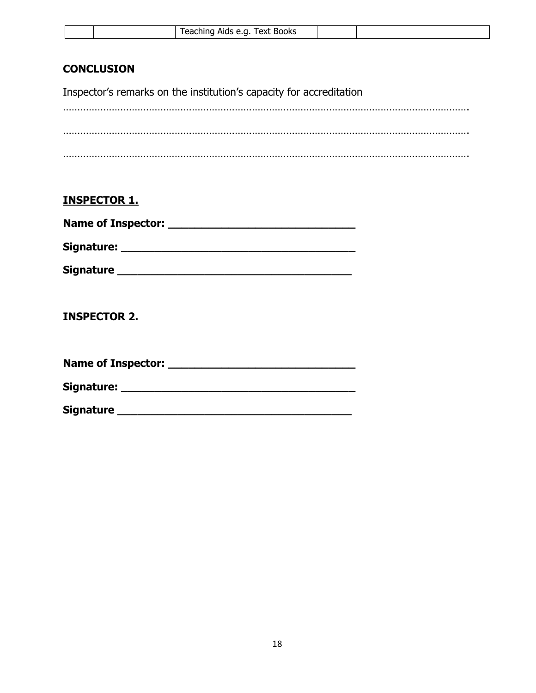|  |  |  | Text Books<br>Feaching Aids e.g. |  |  |
|--|--|--|----------------------------------|--|--|
|--|--|--|----------------------------------|--|--|

#### **CONCLUSION**

Inspector's remarks on the institution's capacity for accreditation

#### INSPECTOR 1.

| <b>Name of Inspector:</b> |  |  |  |
|---------------------------|--|--|--|
| Signature:                |  |  |  |

Signature \_\_\_\_\_\_\_\_\_\_\_\_\_\_\_\_\_\_\_\_\_\_\_\_\_\_\_\_\_\_\_\_\_\_\_

INSPECTOR 2.

Name of Inspector: \_\_\_\_\_\_\_\_\_\_\_\_\_\_\_\_\_\_\_\_\_\_\_\_\_\_\_\_

Signature: \_\_\_\_\_\_\_\_\_\_\_\_\_\_\_\_\_\_\_\_\_\_\_\_\_\_\_\_\_\_\_\_\_\_\_

Signature \_\_\_\_\_\_\_\_\_\_\_\_\_\_\_\_\_\_\_\_\_\_\_\_\_\_\_\_\_\_\_\_\_\_\_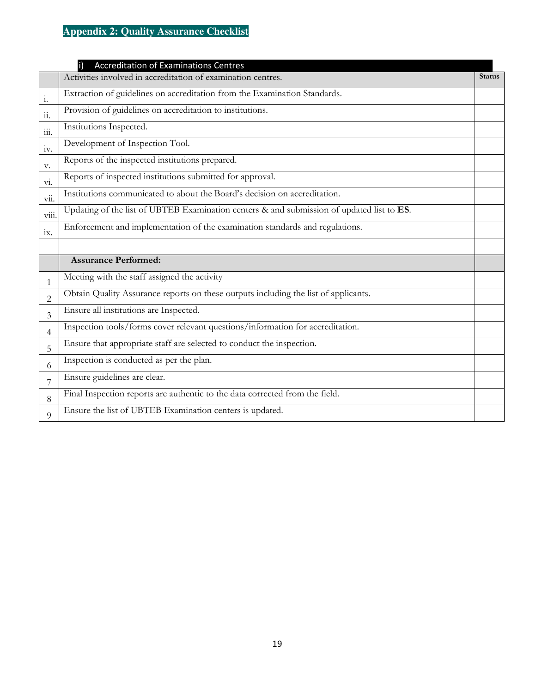# **Appendix 2: Quality Assurance Checklist**

|                            | <b>Accreditation of Examinations Centres</b><br>$\mathsf{i}$                              |               |
|----------------------------|-------------------------------------------------------------------------------------------|---------------|
|                            | Activities involved in accreditation of examination centres.                              | <b>Status</b> |
| 1.                         | Extraction of guidelines on accreditation from the Examination Standards.                 |               |
| 11.                        | Provision of guidelines on accreditation to institutions.                                 |               |
| 111.                       | Institutions Inspected.                                                                   |               |
| 1V.                        | Development of Inspection Tool.                                                           |               |
| V.                         | Reports of the inspected institutions prepared.                                           |               |
| $\overline{\mathrm{vi}}$ . | Reports of inspected institutions submitted for approval.                                 |               |
| $\ddotsc$<br>V11.          | Institutions communicated to about the Board's decision on accreditation.                 |               |
| viii.                      | Updating of the list of UBTEB Examination centers & and submission of updated list to ES. |               |
| ix.                        | Enforcement and implementation of the examination standards and regulations.              |               |
|                            |                                                                                           |               |
|                            | <b>Assurance Performed:</b>                                                               |               |
| $\mathbf{1}$               | Meeting with the staff assigned the activity                                              |               |
| 2                          | Obtain Quality Assurance reports on these outputs including the list of applicants.       |               |
| 3                          | Ensure all institutions are Inspected.                                                    |               |
| 4                          | Inspection tools/forms cover relevant questions/information for accreditation.            |               |
| 5                          | Ensure that appropriate staff are selected to conduct the inspection.                     |               |
| 6                          | Inspection is conducted as per the plan.                                                  |               |
| 7                          | Ensure guidelines are clear.                                                              |               |
| 8                          | Final Inspection reports are authentic to the data corrected from the field.              |               |
| 9                          | Ensure the list of UBTEB Examination centers is updated.                                  |               |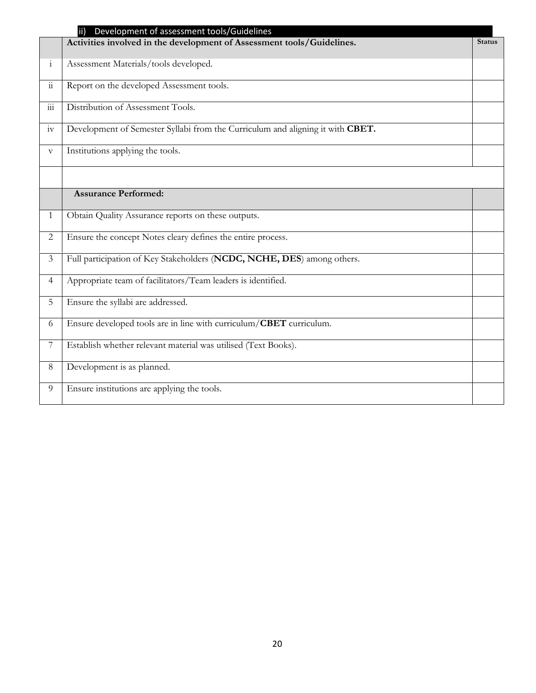|                       | Development of assessment tools/Guidelines<br>ii)                              |               |
|-----------------------|--------------------------------------------------------------------------------|---------------|
|                       | Activities involved in the development of Assessment tools/Guidelines.         | <b>Status</b> |
| $\mathbf{i}$          | Assessment Materials/tools developed.                                          |               |
| $\dddot{\rm n}$       | Report on the developed Assessment tools.                                      |               |
| 111                   | Distribution of Assessment Tools.                                              |               |
| iv                    | Development of Semester Syllabi from the Curriculum and aligning it with CBET. |               |
| $\boldsymbol{\nabla}$ | Institutions applying the tools.                                               |               |
|                       |                                                                                |               |
|                       | <b>Assurance Performed:</b>                                                    |               |
| $\mathbf{1}$          | Obtain Quality Assurance reports on these outputs.                             |               |
| $\overline{2}$        | Ensure the concept Notes cleary defines the entire process.                    |               |
| 3                     | Full participation of Key Stakeholders (NCDC, NCHE, DES) among others.         |               |
| $\overline{4}$        | Appropriate team of facilitators/Team leaders is identified.                   |               |
| 5                     | Ensure the syllabi are addressed.                                              |               |
| 6                     | Ensure developed tools are in line with curriculum/CBET curriculum.            |               |
| 7                     | Establish whether relevant material was utilised (Text Books).                 |               |
| 8                     | Development is as planned.                                                     |               |
| 9                     | Ensure institutions are applying the tools.                                    |               |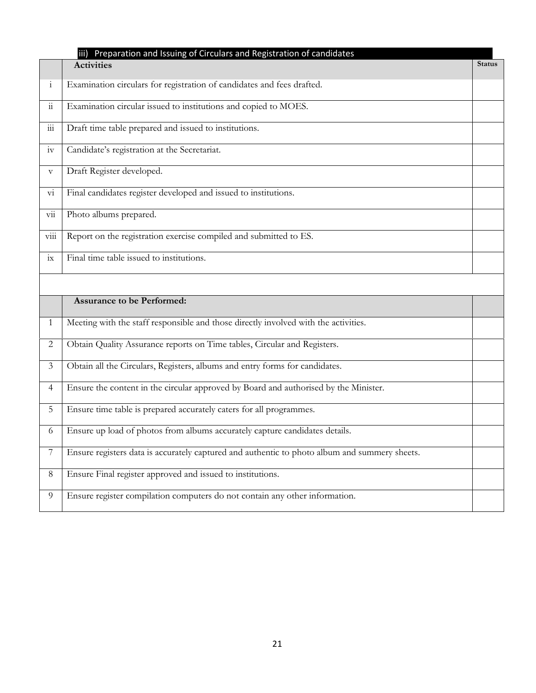|                           | Preparation and Issuing of Circulars and Registration of candidates<br>iii)                   |               |
|---------------------------|-----------------------------------------------------------------------------------------------|---------------|
|                           | <b>Activities</b>                                                                             | <b>Status</b> |
| $\mathbf{i}$              | Examination circulars for registration of candidates and fees drafted.                        |               |
| $\dddot{\rm n}$           | Examination circular issued to institutions and copied to MOES.                               |               |
| $\overline{\text{iii}}$   | Draft time table prepared and issued to institutions.                                         |               |
| iv                        | Candidate's registration at the Secretariat.                                                  |               |
| $\boldsymbol{\mathrm{V}}$ | Draft Register developed.                                                                     |               |
| $\rm{vi}$                 | Final candidates register developed and issued to institutions.                               |               |
| $\rm{vii}$                | Photo albums prepared.                                                                        |               |
| $\overline{\text{viii}}$  | Report on the registration exercise compiled and submitted to ES.                             |               |
| ix                        | Final time table issued to institutions.                                                      |               |
|                           |                                                                                               |               |
|                           | <b>Assurance to be Performed:</b>                                                             |               |
| 1                         | Meeting with the staff responsible and those directly involved with the activities.           |               |
| $\overline{2}$            | Obtain Quality Assurance reports on Time tables, Circular and Registers.                      |               |
| $\mathfrak{Z}$            | Obtain all the Circulars, Registers, albums and entry forms for candidates.                   |               |
| $\overline{4}$            | Ensure the content in the circular approved by Board and authorised by the Minister.          |               |
| 5                         | Ensure time table is prepared accurately caters for all programmes.                           |               |
| 6                         | Ensure up load of photos from albums accurately capture candidates details.                   |               |
| 7                         | Ensure registers data is accurately captured and authentic to photo album and summery sheets. |               |
| 8                         | Ensure Final register approved and issued to institutions.                                    |               |
| 9                         | Ensure register compilation computers do not contain any other information.                   |               |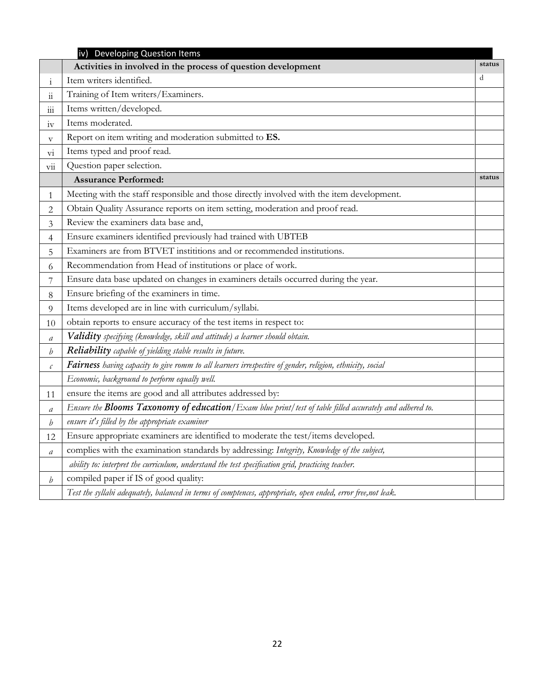|                             | iv) Developing Question Items                                                                                   |        |
|-----------------------------|-----------------------------------------------------------------------------------------------------------------|--------|
|                             | Activities in involved in the process of question development                                                   | status |
| $\mathbf{i}$                | Item writers identified.                                                                                        | d      |
| $\ddot{11}$                 | Training of Item writers/Examiners.                                                                             |        |
| 111                         | Items written/developed.                                                                                        |        |
| 1V                          | Items moderated.                                                                                                |        |
| $\boldsymbol{\mathrm{V}}$   | Report on item writing and moderation submitted to ES.                                                          |        |
| V1                          | Items typed and proof read.                                                                                     |        |
| $\overline{\mathrm{vii}}$   | Question paper selection.                                                                                       |        |
|                             | <b>Assurance Performed:</b>                                                                                     | status |
| 1                           | Meeting with the staff responsible and those directly involved with the item development.                       |        |
| 2                           | Obtain Quality Assurance reports on item setting, moderation and proof read.                                    |        |
| 3                           | Review the examiners data base and,                                                                             |        |
| $\overline{\mathcal{A}}$    | Ensure examiners identified previously had trained with UBTEB                                                   |        |
| 5                           | Examiners are from BTVET institutions and or recommended institutions.                                          |        |
| 6                           | Recommendation from Head of institutions or place of work.                                                      |        |
| 7                           | Ensure data base updated on changes in examiners details occurred during the year.                              |        |
| 8                           | Ensure briefing of the examiners in time.                                                                       |        |
| 9                           | Items developed are in line with curriculum/syllabi.                                                            |        |
| 10                          | obtain reports to ensure accuracy of the test items in respect to:                                              |        |
| $\mathfrak{a}$              | Validity specifying (knowledge, skill and attitude) a learner should obtain.                                    |        |
| b                           | Reliability capable of yielding stable results in future.                                                       |        |
| $\mathcal{C}_{\mathcal{C}}$ | Fairness having capacity to give romm to all learners irrespective of gender, religion, ethnicity, social       |        |
|                             | Economic, background to perform equally well.                                                                   |        |
| 11                          | ensure the items are good and all attributes addressed by:                                                      |        |
| $\boldsymbol{a}$            | Ensure the <b>Blooms Taxonomy of education</b> /Exam blue print/test of table filled accurately and adhered to. |        |
| $\boldsymbol{b}$            | ensure it's filled by the appropriate examiner                                                                  |        |
| 12                          | Ensure appropriate examiners are identified to moderate the test/items developed.                               |        |
| $\mathfrak{a}$              | complies with the examination standards by addressing: Integrity, Knowledge of the subject,                     |        |
|                             | ability to: interpret the curriculum, understand the test specification grid, practicing teacher.               |        |
| $\mathfrak b$               | compiled paper if IS of good quality:                                                                           |        |
|                             | Test the syllabi adequately, balanced in terms of comptences, appropriate, open ended, error free,not leak.     |        |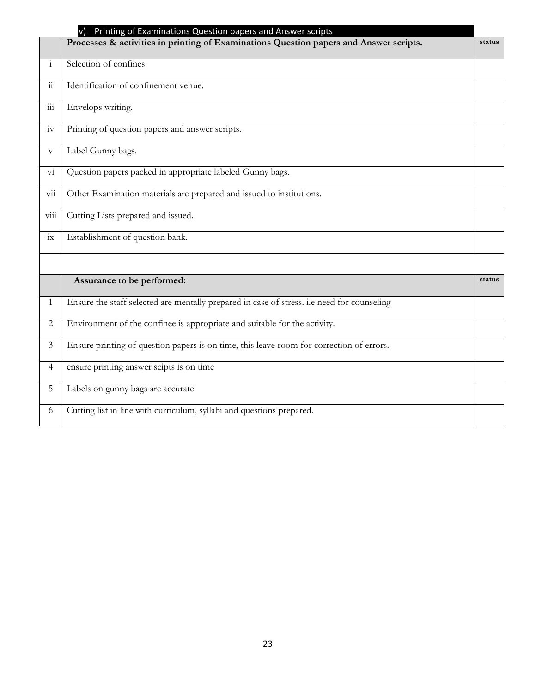|                           | Printing of Examinations Question papers and Answer scripts<br>$\vee$                      |        |
|---------------------------|--------------------------------------------------------------------------------------------|--------|
|                           | Processes & activities in printing of Examinations Question papers and Answer scripts.     | status |
| $\mathbf{i}$              | Selection of confines.                                                                     |        |
| $\dddot{\mathbf{i}}$      | Identification of confinement venue.                                                       |        |
| 111                       | Envelops writing.                                                                          |        |
| iv                        | Printing of question papers and answer scripts.                                            |        |
| $\boldsymbol{\mathrm{V}}$ | Label Gunny bags.                                                                          |        |
| $\overline{\mathrm{vi}}$  | Question papers packed in appropriate labeled Gunny bags.                                  |        |
| $\overline{\mathrm{vii}}$ | Other Examination materials are prepared and issued to institutions.                       |        |
| $\overline{\text{viii}}$  | Cutting Lists prepared and issued.                                                         |        |
| $i\mathbf{x}$             | Establishment of question bank.                                                            |        |
|                           |                                                                                            |        |
|                           | Assurance to be performed:                                                                 | status |
| $\mathbf{1}$              | Ensure the staff selected are mentally prepared in case of stress. i.e need for counseling |        |
| $\mathbf{2}$              | Environment of the confinee is appropriate and suitable for the activity.                  |        |
| $\overline{3}$            | Ensure printing of question papers is on time, this leave room for correction of errors.   |        |
| $\overline{4}$            | ensure printing answer scipts is on time                                                   |        |
| 5                         | Labels on gunny bags are accurate.                                                         |        |
| 6                         | Cutting list in line with curriculum, syllabi and questions prepared.                      |        |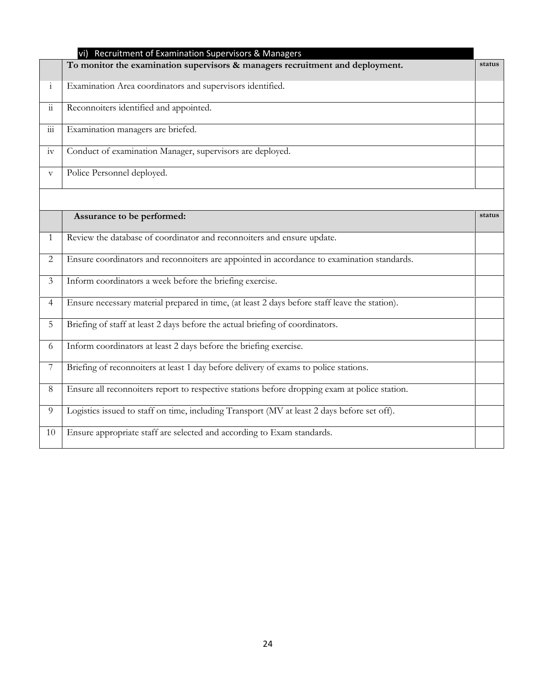|                           | Recruitment of Examination Supervisors & Managers<br>vi)                                      |        |
|---------------------------|-----------------------------------------------------------------------------------------------|--------|
|                           | To monitor the examination supervisors & managers recruitment and deployment.                 | status |
| $\mathbf{i}$              | Examination Area coordinators and supervisors identified.                                     |        |
| $\dddot{\rm n}$           | Reconnoiters identified and appointed.                                                        |        |
| $\overline{\text{iii}}$   | Examination managers are briefed.                                                             |        |
| iv                        | Conduct of examination Manager, supervisors are deployed.                                     |        |
| $\boldsymbol{\mathrm{V}}$ | Police Personnel deployed.                                                                    |        |
|                           |                                                                                               |        |
|                           | Assurance to be performed:                                                                    | status |
| $\mathbf{1}$              | Review the database of coordinator and reconnoiters and ensure update.                        |        |
| 2                         | Ensure coordinators and reconnoiters are appointed in accordance to examination standards.    |        |
| $\mathfrak{Z}$            | Inform coordinators a week before the briefing exercise.                                      |        |
| $\overline{4}$            | Ensure necessary material prepared in time, (at least 2 days before staff leave the station). |        |
| 5                         | Briefing of staff at least 2 days before the actual briefing of coordinators.                 |        |
| 6                         | Inform coordinators at least 2 days before the briefing exercise.                             |        |
| $7\phantom{.}$            | Briefing of reconnoiters at least 1 day before delivery of exams to police stations.          |        |
| 8                         | Ensure all reconnoiters report to respective stations before dropping exam at police station. |        |
| 9                         | Logistics issued to staff on time, including Transport (MV at least 2 days before set off).   |        |
| 10                        | Ensure appropriate staff are selected and according to Exam standards.                        |        |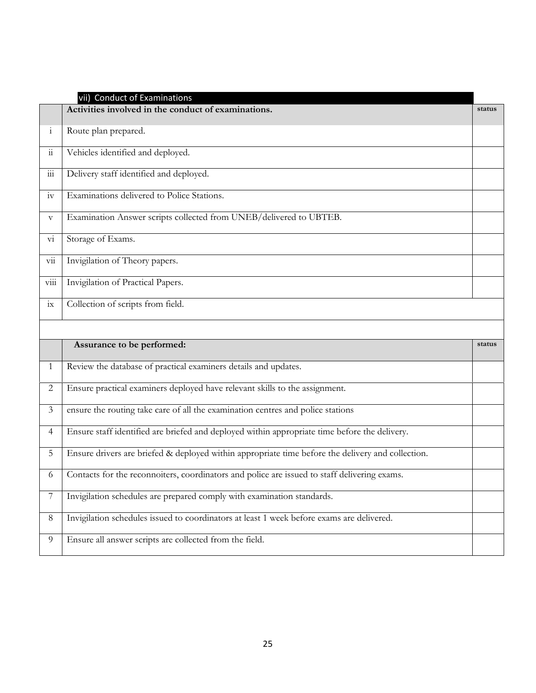|                           | vii) Conduct of Examinations                                                                      |        |
|---------------------------|---------------------------------------------------------------------------------------------------|--------|
|                           | Activities involved in the conduct of examinations.                                               | status |
| $\mathbf{i}$              | Route plan prepared.                                                                              |        |
| $\dddot{\rm n}$           | Vehicles identified and deployed.                                                                 |        |
| $\overline{\text{iii}}$   | Delivery staff identified and deployed.                                                           |        |
| iv                        | Examinations delivered to Police Stations.                                                        |        |
| V                         | Examination Answer scripts collected from UNEB/delivered to UBTEB.                                |        |
| $\overline{\mathrm{vi}}$  | Storage of Exams.                                                                                 |        |
| $\overline{\mathrm{vii}}$ | Invigilation of Theory papers.                                                                    |        |
| $\overline{\text{viii}}$  | Invigilation of Practical Papers.                                                                 |        |
| ix                        | Collection of scripts from field.                                                                 |        |
|                           |                                                                                                   |        |
|                           |                                                                                                   |        |
|                           | Assurance to be performed:                                                                        | status |
| 1                         | Review the database of practical examiners details and updates.                                   |        |
| 2                         | Ensure practical examiners deployed have relevant skills to the assignment.                       |        |
| $\mathfrak{Z}$            | ensure the routing take care of all the examination centres and police stations                   |        |
| $\overline{4}$            | Ensure staff identified are briefed and deployed within appropriate time before the delivery.     |        |
| 5                         | Ensure drivers are briefed & deployed within appropriate time before the delivery and collection. |        |
| 6                         | Contacts for the reconnoiters, coordinators and police are issued to staff delivering exams.      |        |
| 7                         | Invigilation schedules are prepared comply with examination standards.                            |        |
| $8\,$                     | Invigilation schedules issued to coordinators at least 1 week before exams are delivered.         |        |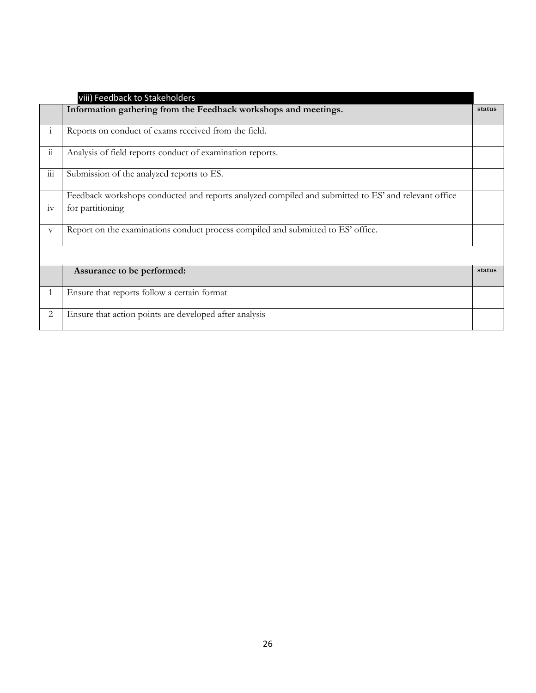|                      | viii) Feedback to Stakeholders                                                                      |        |
|----------------------|-----------------------------------------------------------------------------------------------------|--------|
|                      | Information gathering from the Feedback workshops and meetings.                                     | status |
| $\mathbf{1}$         | Reports on conduct of exams received from the field.                                                |        |
| $\dddot{\mathbf{i}}$ | Analysis of field reports conduct of examination reports.                                           |        |
| $\cdots$<br>111      | Submission of the analyzed reports to ES.                                                           |        |
|                      | Feedback workshops conducted and reports analyzed compiled and submitted to ES' and relevant office |        |
| 1V                   | for partitioning                                                                                    |        |
| $\mathbf{V}$         | Report on the examinations conduct process compiled and submitted to ES' office.                    |        |
|                      |                                                                                                     |        |
|                      | Assurance to be performed:                                                                          | status |
| $\mathbf{1}$         | Ensure that reports follow a certain format                                                         |        |
| 2                    | Ensure that action points are developed after analysis                                              |        |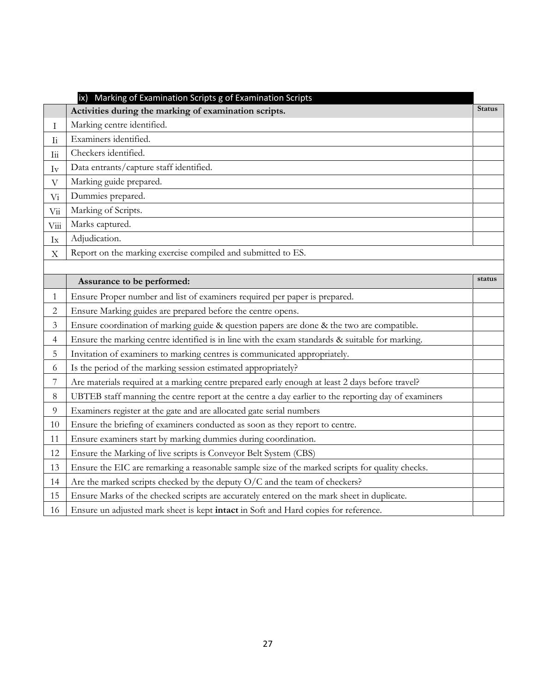|                            | Marking of Examination Scripts g of Examination Scripts                                             |               |
|----------------------------|-----------------------------------------------------------------------------------------------------|---------------|
|                            | Activities during the marking of examination scripts.                                               | <b>Status</b> |
| I                          | Marking centre identified.                                                                          |               |
| $\rm{I}i$                  | Examiners identified.                                                                               |               |
| $\overline{\mathrm{I}}$ ii | Checkers identified.                                                                                |               |
| $\mathrm{Iv}$              | Data entrants/capture staff identified.                                                             |               |
| $\boldsymbol{\nabla}$      | Marking guide prepared.                                                                             |               |
| $\rm{Vi}$                  | Dummies prepared.                                                                                   |               |
| $\rm{Vi}$                  | Marking of Scripts.                                                                                 |               |
| Viii                       | Marks captured.                                                                                     |               |
| $I_{X}$                    | Adjudication.                                                                                       |               |
| $\mathbf X$                | Report on the marking exercise compiled and submitted to ES.                                        |               |
|                            |                                                                                                     |               |
|                            | Assurance to be performed:                                                                          | status        |
| 1                          | Ensure Proper number and list of examiners required per paper is prepared.                          |               |
| $\overline{2}$             | Ensure Marking guides are prepared before the centre opens.                                         |               |
| 3                          | Ensure coordination of marking guide & question papers are done & the two are compatible.           |               |
| 4                          | Ensure the marking centre identified is in line with the exam standards & suitable for marking.     |               |
| 5                          | Invitation of examiners to marking centres is communicated appropriately.                           |               |
| 6                          | Is the period of the marking session estimated appropriately?                                       |               |
| 7                          | Are materials required at a marking centre prepared early enough at least 2 days before travel?     |               |
| 8                          | UBTEB staff manning the centre report at the centre a day earlier to the reporting day of examiners |               |
| 9                          | Examiners register at the gate and are allocated gate serial numbers                                |               |
| 10                         | Ensure the briefing of examiners conducted as soon as they report to centre.                        |               |
| 11                         | Ensure examiners start by marking dummies during coordination.                                      |               |
| 12                         | Ensure the Marking of live scripts is Conveyor Belt System (CBS)                                    |               |
| 13                         | Ensure the EIC are remarking a reasonable sample size of the marked scripts for quality checks.     |               |
| 14                         | Are the marked scripts checked by the deputy O/C and the team of checkers?                          |               |
| 15                         | Ensure Marks of the checked scripts are accurately entered on the mark sheet in duplicate.          |               |
| 16                         | Ensure un adjusted mark sheet is kept intact in Soft and Hard copies for reference.                 |               |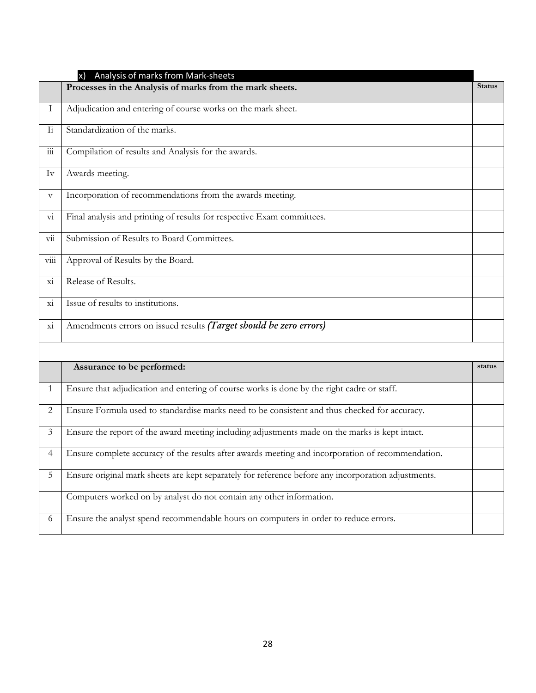|                           | Analysis of marks from Mark-sheets<br>x)                                                            |               |
|---------------------------|-----------------------------------------------------------------------------------------------------|---------------|
|                           | Processes in the Analysis of marks from the mark sheets.                                            | <b>Status</b> |
| Ι.                        | Adjudication and entering of course works on the mark sheet.                                        |               |
| $\overline{1}i$           | Standardization of the marks.                                                                       |               |
| $\overline{iii}$          | Compilation of results and Analysis for the awards.                                                 |               |
| Iv                        | Awards meeting.                                                                                     |               |
| $\boldsymbol{\mathrm{V}}$ | Incorporation of recommendations from the awards meeting.                                           |               |
| V1                        | Final analysis and printing of results for respective Exam committees.                              |               |
| $\overline{\mathrm{vii}}$ | Submission of Results to Board Committees.                                                          |               |
| V111                      | Approval of Results by the Board.                                                                   |               |
| X1                        | Release of Results.                                                                                 |               |
| X1                        | Issue of results to institutions.                                                                   |               |
| X1                        | Amendments errors on issued results (Target should be zero errors)                                  |               |
|                           |                                                                                                     |               |
|                           | Assurance to be performed:                                                                          | status        |
| 1                         | Ensure that adjudication and entering of course works is done by the right cadre or staff.          |               |
| 2                         | Ensure Formula used to standardise marks need to be consistent and thus checked for accuracy.       |               |
| 3                         | Ensure the report of the award meeting including adjustments made on the marks is kept intact.      |               |
| 4                         | Ensure complete accuracy of the results after awards meeting and incorporation of recommendation.   |               |
| 5                         | Ensure original mark sheets are kept separately for reference before any incorporation adjustments. |               |
|                           | Computers worked on by analyst do not contain any other information.                                |               |
| 6                         | Ensure the analyst spend recommendable hours on computers in order to reduce errors.                |               |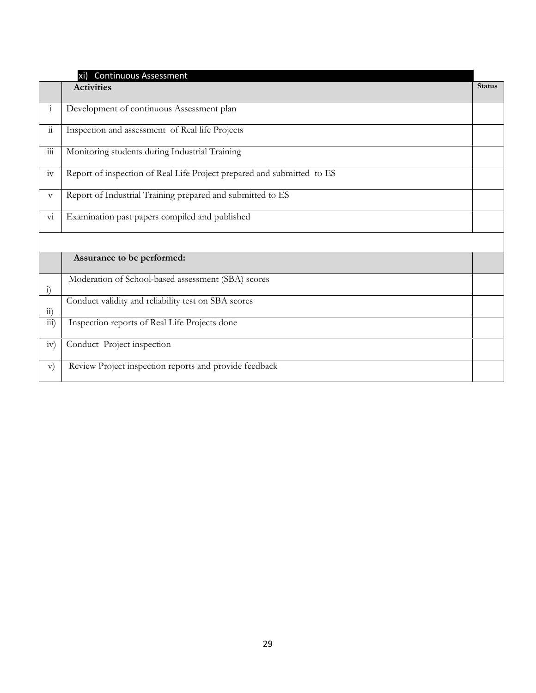|                          | <b>Continuous Assessment</b><br>xi)                                    |               |
|--------------------------|------------------------------------------------------------------------|---------------|
|                          | <b>Activities</b>                                                      | <b>Status</b> |
| $\mathbf{i}$             | Development of continuous Assessment plan                              |               |
| $\ddot{\mathbf{i}}$      | Inspection and assessment of Real life Projects                        |               |
| $\overline{\mathbf{m}}$  | Monitoring students during Industrial Training                         |               |
| iv                       | Report of inspection of Real Life Project prepared and submitted to ES |               |
| $\boldsymbol{\nabla}$    | Report of Industrial Training prepared and submitted to ES             |               |
| $\overline{\mathrm{vi}}$ | Examination past papers compiled and published                         |               |
|                          |                                                                        |               |
|                          | Assurance to be performed:                                             |               |
| $\ddot{1}$               | Moderation of School-based assessment (SBA) scores                     |               |
| $\overline{11}$          | Conduct validity and reliability test on SBA scores                    |               |
| $\overline{111}$ )       | Inspection reports of Real Life Projects done                          |               |
| iv)                      | Conduct Project inspection                                             |               |
| $\mathbf{v})$            | Review Project inspection reports and provide feedback                 |               |